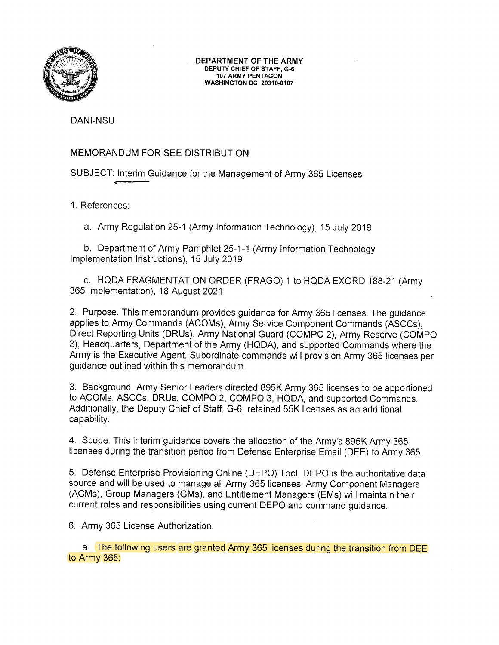

DEPARTMENT OF THE ARMY DEPUTY CHIEF OF STAFF, G-6 107 ARMY PENTAGON WASH|NGTON DC 20310-0107

DANI-NSU

# MEMORANDUM FOR SEE DISTRIBUTION

SUBJECT: Interim Guidance for the Management of Army 365 Licenses

1. References

a. Army Regulation 25-1 (Army lnformation Technology), 15 July 2019

b. Department of Army Pamphlet 25-1-1 (Army lnformation Technology lmplementation lnstructions), 15 July 2019

c. HQDA FRAGMENTATION ORDER (FRAGO) 1 to HQDA EXORD 1BB-21(Army 365 lmplementation), 18 August 2021

2. Purpose. This memorandum provides guidance for Army 365 licenses. The guidance applies to Army Commands (ACOMs), Army Service Component Commands (ASCCs), Direct Reporting Units (DRUs), Army National Guard (COMPO 2), Army Reserve (COMPO 3), Headquarters, Department of the Army (HQDA), and supported Commands where the Army is the Executive Agent. Subordinate commands will provision Army 365 licenses per guidance outlined within this memorandum.

3. Background. Army Senior Leaders directed 895K Army 365 licenses to be apportioned to ACOMs, ASCCs, DRUs, COMPO 2, COMPO 3, HQDA, and supported Commands. Additionally, the Deputy Chief of Staff, G-6, retained 55K licenses as an additional capability.

4. Scope. This interim guidance covers the allocation of the Army's 895K Army <sup>365</sup> licenses during the transition period from Defense Enterprise Email (DEE) to Army 365.

5. Defense Enterprise Provisioning Online (DEPO) Tool. DEPO is the authoritative data source and will be used to manage all Army 365 licenses. Army Component Managers (ACMs), Group Managers (GMs), and Entitlement Managers (EMs) will maintain their current roles and responsibilities using current DEPO and command guidance.

6. Army 365 License Authorization

a. The following users are granted Army 365 licenses during the transition from DEE to Army 365: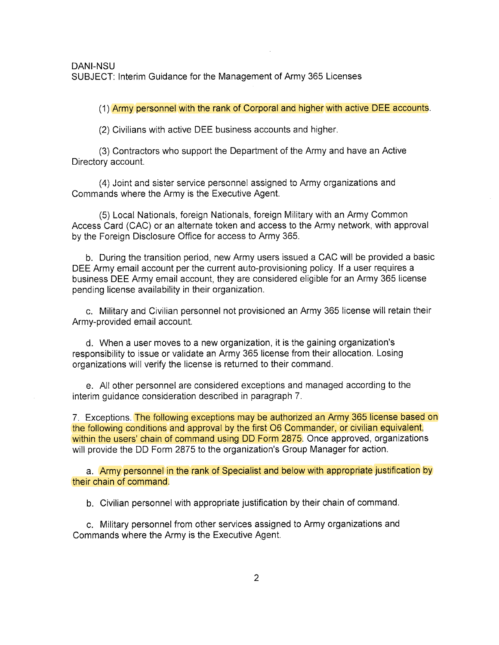(1) Army personnel with the rank of Corporal and higher with active DEE accounts

(2) Civilians with active DEE business accounts and higher

(3) Contractors who support the Department of the Army and have an Active Directory account.

(4) Joint and sister service personnel assigned to Army organizations and Commands where the Army is the Executive Agent.

(5) Local Nationals, foreign Nationals, foreign Military with an Army Common Access Card (CAC) or an alternate token and access to the Army network, with approval by the Foreign Disclosure Office for access to Army 365.

b. During the transition period, new Army users issued a CAC will be provided a basic DEE Army email account per the current auto-provisioning policy. lf a user requires a business DEE Army email account, they are considered eligible for an Army 365 license pending license availability in their organization.

c. Military and Civilian personnel not provisioned an Army 365 license will retain their Army-provided email account.

d. When a user moves to a new organization, it is the gaining organization's responsibility to issue or validate an Army 365 license from their allocation. Losing organizations will verify the license is returned to their command.

e. All other personnel are considered exceptions and managed according to the interim guidance consideration described in paragraph 7.

7. Exceptions. The following exceptions may be authorized an Army 365 license based on the following conditions and approval by the first 06 Commander, or civilian equivalent, within the users' chain of command using DD Form 2875. Once approved, organizations will provide the DD Form 2875 to the organization's Group Manager for action.

a. Army personnel in the rank of Specialist and below with appropriate justification by their chain of command.

b. Civilian personnel with appropriate justification by their chain of command

c. Military personnel from other services assigned to Army organizations and Commands where the Army is the Executive Agent.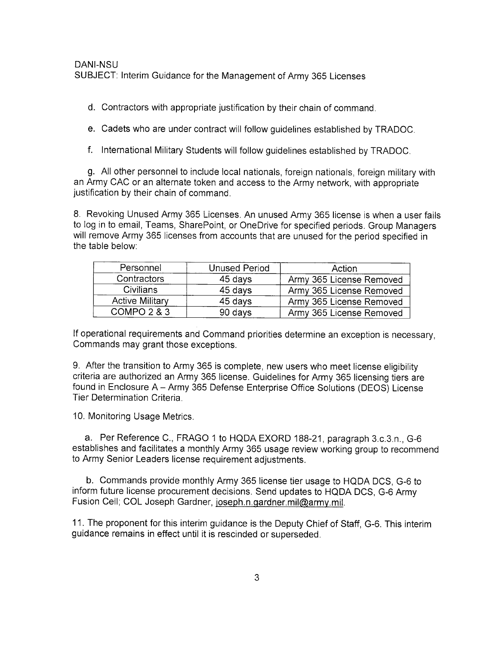d. Contractors with appropriate justification by their chain of command

e. Cadets who are under contract will follow guidelines established by TRADOC.

f. lnternational Military Students will follow guidelines established by TRADOC.

g. All other personnel to include local nationals, foreign nationals, foreign military with an Army CAC or an alternate token and access to the Army network, with appropriate justification by their chain of command.

8. Revoking Unused Army 365 Licenses. An unused Army 365 license is when a user fails to log in to email, Teams, SharePoint, or OneDrive for specified periods. Group Managers will remove Army 365 licenses from accounts that are unused for the period specified in the table below.

| Personnel              | <b>Unused Period</b> | Action                   |
|------------------------|----------------------|--------------------------|
| Contractors            | 45 days              | Army 365 License Removed |
| <b>Civilians</b>       | 45 days              | Army 365 License Removed |
| <b>Active Military</b> | 45 days              | Army 365 License Removed |
| COMPO 2 & 3            | 90 days              | Army 365 License Removed |

lf operational requirements and Command priorities determine an exception is necessary, Commands may grant those exceptions.

9. After the transition to Army 365 is complete, new users who meet license eligibility criteria are authorized an Army 365 license. Guidelines for Army 365 licensing tiers are found in Enclosure A - Army 365 Defense Enterprise Office Solutions (DEOS) License Tier Determination Criteria.

10. Monitoring Usage Metrics.

a. Per Reference C., FRAGO 1 to HQDA EXORD 188-21, paragraph 3.c.3.n., G-6 establishes and facilitates a monthly Army 365 usage review working group to recommend to Army Senior Leaders license requirement adjustments.

b. Commands provide monthly Army 365 license tier usage to HQDA DCS, G-6 to inform future license procurement decisions. Send updates to HQDA DCS, G-6 Army Fusion Cell; COL Joseph Gardner, joseph.n.gardner.mil@army.mil.

11. The proponent for this interim guidance is the Deputy Chief of Staff, G-6. This interim guidance remains in effect until it is rescinded or superseded.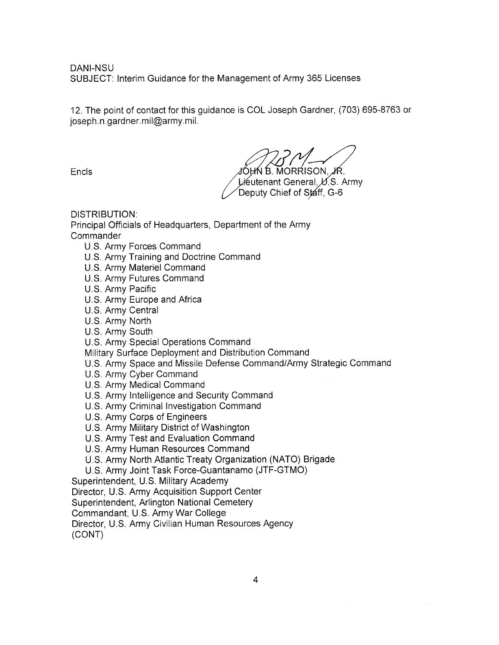DANI-NSU SUBJECT: lnterim Guidance for the Management of Army 365 Licenses

12. The point of contact for this guidance is COL Joseph Gardner, (703) 695-8763 or joseph. n. gardner. mil@army. mil.

 $JOHN$  B. MORRISON,  $JR$ . Lieutenant General L.S. Army

Deputy Chief of Staff, G-6

DISTRIBUTION:

Principal Officials of Headquarters, Department of the Army **Commander** 

- U.S. Army Forces Command
- U.S. Army Training and Doctrine Command
- U.S. Army Materiel Command
- U.S. Army Futures Command
- U.S. Army Pacific
- U.S. Army Europe and Africa
- U.S. Army Central
- U.S. Army North
- U.S. Army South
- U.S. Army Special Operations Command

Military Surface Deployment and Distribution Command

- U.S. Army Space and Missile Defense Command/Army Strategic Command
- U.S. Army Cyber Command
- U.S. Army Medical Command
- U.S. Army lntelligence and Security Command
- U.S. Army Criminal lnvestigation Command
- U.S. Army Corps of Engineers
- U.S. Army Military District of Washington
- U.S. Army Test and Evaluation Command
- U.S. Army Human Resources Command
- U.S. Army North Atlantic Treaty Organization (NATO) Brigade
- U.S. Army Joint Task Force-Guantanamo (JTF-GTMO)

Superintendent, U.S. Military Academy

Director, U.S. Army Acquisition Support Center

Superintendent, Arlington National Cemetery

Commandant, U.S. Army War College

Director, U.S. Army Civilian Human Resources Agency

(coNr)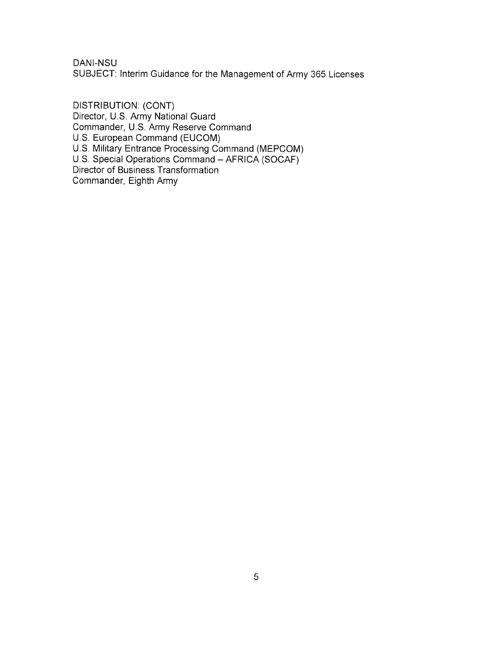DANI-NSU

SUBJECT: lnterim Guidance for the Management of Army 365 Licenses

DISTRIBUTION: (CONT) Director, U.S. Army National Guard Commander, U.S. Army Reserve Command U.S. European Command (EUCOM) U.S. Military Entrance Processing Command (MEP U.S. Special Operations Command - AFRICA (SOCAF) Director of Business Transformation Commander, Eighth Army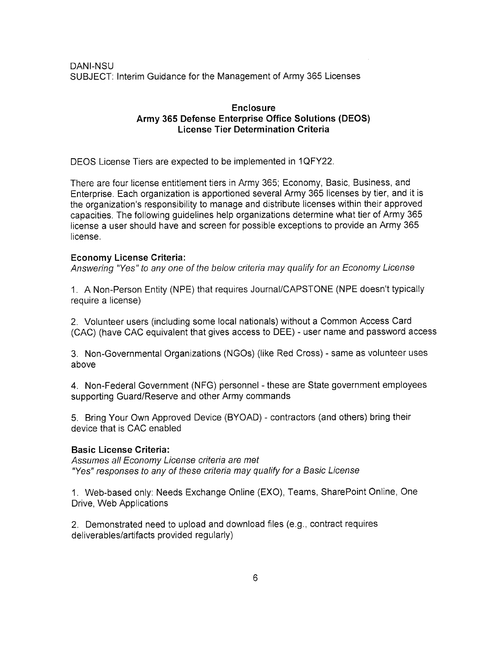DANI-NSU SUBJECT: lnterim Guidance for the Management of Army 365 Licenses

## Enclosure Army 365 Defense Enterprise Office Solutions (DEOS) License Tier Determination Criteria

DEOS License Tiers are expected to be implemented in 1QFY22.

There are four license entitlement tiers in Army 365; Economy, Basic, Business, and Enterprise. Each organization is apportioned several Army 365 licenses by tier, and it is the organization's responsibility to manage and distribute licenses within their approved capacities. The following guidelines help organizations deiermine what tier of Army 365 license a user should have and screen for possible exceptions to provide an Army 365 license.

### Economy License Criteria:

Answering "Yes" to any one of the below criteria may qualify for an Economy License

1. A Non-Person Entity (NPE) that requires Journal/CAPSTONE (NPE doesn't typically require a license)

2. Volunteer users (including some local nationals) without a Common Access Card (CAC) (have CAC equivalent that gives access to DEE) - user name and password access

3. Non-Governmental Organizations (NGOs) (like Red Cross) - same as volunteer uses above

4. Non-Federal Government (NFG) personnel - these are State government employees supporting Guard/Reserve and other Army commands

5. Bring Your Own Approved Device (BYOAD) - contractors (and others) bring their device that is CAC enabled

#### Basic License Griteria:

Assumes all Economy License criteria are met "Yes" responses to any of these criteria may qualify for a Basic License

1. Web-based only: Needs Exchange Online (EXO), Teams, SharePoint Online, One Drive, Web Applications

2. Demonstrated need to upload and download files (e.9., contract requires deliverables/artifacts provided regularly)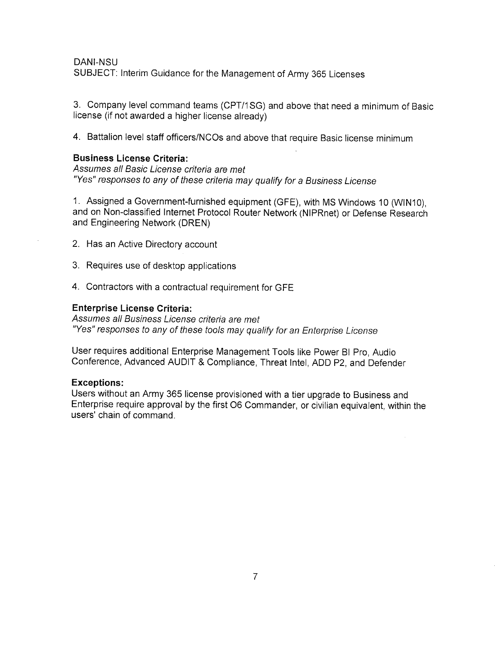#### DANI-NSU

suBJEcr: lnterim Guidance for the Management of Army 36s Licenses

3. Company level command teams (CPT/1SG) and above that need a minimum of Basic license (if not awarded a higher license already)

4. Battalion level staff officers/NCOs and above that require Basic license minimum

# Business License Criteria:

Assumes all Basic License criteria are met "Yes" responses to any of these criteria may qualify for a Business License

<sup>1</sup>. Assigned a Government-furnished equipment (GFE), with MS Windows 10 (WlN10), and on Non-classified Internet Protocol Router Network (NIPRnet) or Defense Research and Engineering Network (DREN)

- 2. Has an Active Directory account
- 3. Requires use of desktop applications
- 4. Contractors with a contractual requirement for GFE

#### Enterprise License Criteria:

Assumes all Business License criteria are met "Yes" responses to any of these tools may qualify for an Enterprise License

User requires additional Enterprise Management Tools like Power Bl Pro, Audio conference, Advanced AUDIr & compliance, Threat lntel, ADD p2, and Defender

## Exceptions:

Users without an Army 365 license provisioned with a tier upgrade to Business and Enterprise require approval by the first 06 Commander, or civilian equivalent, within the users' chain of command.